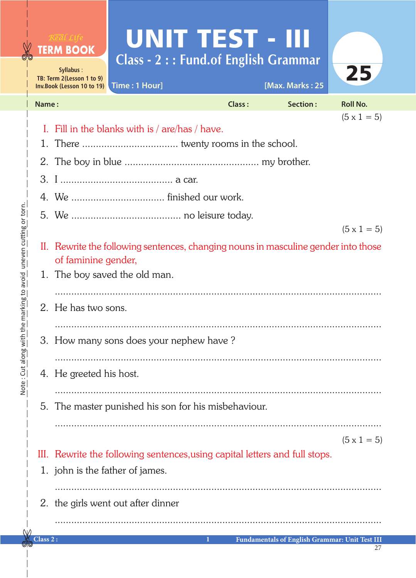|                                             |          | <b>TERM BOOK</b><br>Syllabus:<br>TB: Term 2(Lesson 1 to 9)<br>Inv.Book (Lesson 10 to 19)                  | UNIT TEST - III<br><b>Class - 2 :: Fund.of English Grammar</b><br>Time: 1 Hour] |               | [Max. Marks: 25                                       | 25                 |  |
|---------------------------------------------|----------|-----------------------------------------------------------------------------------------------------------|---------------------------------------------------------------------------------|---------------|-------------------------------------------------------|--------------------|--|
|                                             | Name:    |                                                                                                           |                                                                                 | <b>Class:</b> | <b>Section:</b>                                       | <b>Roll No.</b>    |  |
|                                             |          |                                                                                                           |                                                                                 |               |                                                       | $(5 \times 1 = 5)$ |  |
|                                             | 1.       | Fill in the blanks with is / are/has / have.                                                              |                                                                                 |               |                                                       |                    |  |
|                                             | 2.       |                                                                                                           |                                                                                 |               |                                                       |                    |  |
|                                             |          |                                                                                                           |                                                                                 |               |                                                       |                    |  |
|                                             |          |                                                                                                           |                                                                                 |               |                                                       |                    |  |
|                                             |          |                                                                                                           |                                                                                 |               |                                                       |                    |  |
|                                             |          |                                                                                                           |                                                                                 |               |                                                       | $(5 \times 1 = 5)$ |  |
| the marking to avoid uneven cutting or torn |          | II. Rewrite the following sentences, changing nouns in masculine gender into those<br>of faminine gender, |                                                                                 |               |                                                       |                    |  |
|                                             | 1.       | The boy saved the old man.                                                                                |                                                                                 |               |                                                       |                    |  |
|                                             |          |                                                                                                           |                                                                                 |               |                                                       |                    |  |
|                                             |          | 2. He has two sons.                                                                                       |                                                                                 |               |                                                       |                    |  |
|                                             |          |                                                                                                           |                                                                                 |               |                                                       |                    |  |
|                                             |          | 3. How many sons does your nephew have?                                                                   |                                                                                 |               |                                                       |                    |  |
|                                             |          |                                                                                                           |                                                                                 |               |                                                       |                    |  |
| Note : Chi along Mit                        |          | 4. He greeted his host.                                                                                   |                                                                                 |               |                                                       |                    |  |
|                                             | 5.       | The master punished his son for his misbehaviour.                                                         |                                                                                 |               |                                                       |                    |  |
|                                             |          |                                                                                                           |                                                                                 |               |                                                       | $(5 \times 1 = 5)$ |  |
|                                             |          |                                                                                                           | III. Rewrite the following sentences, using capital letters and full stops.     |               |                                                       |                    |  |
|                                             |          |                                                                                                           | 1. john is the father of james.                                                 |               |                                                       |                    |  |
|                                             |          |                                                                                                           | 2. the girls went out after dinner                                              |               |                                                       |                    |  |
|                                             |          |                                                                                                           |                                                                                 |               |                                                       |                    |  |
|                                             | Class 2: |                                                                                                           |                                                                                 | П             | <b>Fundamentals of English Grammar: Unit Test III</b> |                    |  |

27